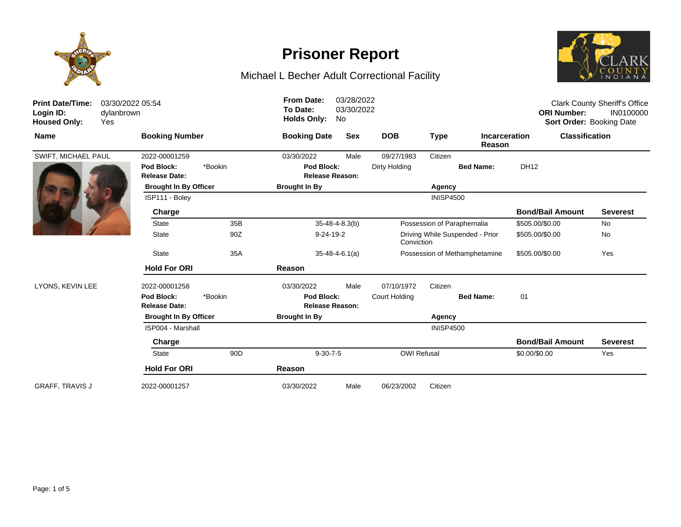

## Michael L Becher Adult Correctional Facility



| <b>Print Date/Time:</b><br>Login ID:<br><b>Housed Only:</b> | 03/30/2022 05:54<br>dylanbrown<br>Yes |                                               |                 | <b>From Date:</b><br>To Date:<br><b>Holds Only:</b>                | 03/28/2022<br>03/30/2022<br>No |                               |                  |                                | <b>ORI Number:</b>      | <b>Clark County Sheriff's Office</b><br>IN0100000<br><b>Sort Order: Booking Date</b> |
|-------------------------------------------------------------|---------------------------------------|-----------------------------------------------|-----------------|--------------------------------------------------------------------|--------------------------------|-------------------------------|------------------|--------------------------------|-------------------------|--------------------------------------------------------------------------------------|
| <b>Name</b>                                                 |                                       | <b>Booking Number</b>                         |                 | <b>Booking Date</b>                                                | <b>Sex</b>                     | <b>DOB</b>                    | <b>Type</b>      | <b>Incarceration</b><br>Reason | <b>Classification</b>   |                                                                                      |
| SWIFT, MICHAEL PAUL                                         |                                       | 2022-00001259                                 |                 | 03/30/2022                                                         | Male                           | 09/27/1983                    | Citizen          |                                |                         |                                                                                      |
|                                                             |                                       | Pod Block:<br>*Bookin<br><b>Release Date:</b> |                 | Pod Block:<br><b>Release Reason:</b>                               |                                | Dirty Holding                 |                  | <b>Bed Name:</b>               | DH12                    |                                                                                      |
|                                                             |                                       | <b>Brought In By Officer</b>                  |                 | <b>Brought In By</b>                                               |                                | Agency                        |                  |                                |                         |                                                                                      |
|                                                             |                                       | ISP111 - Bolev                                |                 |                                                                    |                                |                               | <b>INISP4500</b> |                                |                         |                                                                                      |
|                                                             |                                       | Charge                                        |                 |                                                                    |                                |                               |                  |                                | <b>Bond/Bail Amount</b> | <b>Severest</b>                                                                      |
|                                                             |                                       | <b>State</b>                                  | 35B             |                                                                    | $35 - 48 - 4 - 8.3(b)$         | Possession of Paraphernalia   |                  |                                | \$505.00/\$0.00         | No                                                                                   |
|                                                             |                                       | <b>State</b>                                  | 90Z             | $9 - 24 - 19 - 2$<br>Driving While Suspended - Prior<br>Conviction |                                | \$505.00/\$0.00               | No               |                                |                         |                                                                                      |
|                                                             |                                       | <b>State</b>                                  | 35A             | $35 - 48 - 4 - 6.1(a)$                                             |                                | Possession of Methamphetamine |                  | \$505.00/\$0.00                | Yes                     |                                                                                      |
|                                                             |                                       | <b>Hold For ORI</b>                           |                 | Reason                                                             |                                |                               |                  |                                |                         |                                                                                      |
| LYONS, KEVIN LEE                                            |                                       | 2022-00001258                                 |                 | 03/30/2022                                                         | Male                           | 07/10/1972                    | Citizen          |                                |                         |                                                                                      |
|                                                             |                                       | Pod Block:<br><b>Release Date:</b>            | *Bookin         | Pod Block:<br><b>Release Reason:</b>                               |                                | Court Holding                 |                  | <b>Bed Name:</b>               | 01                      |                                                                                      |
|                                                             |                                       | <b>Brought In By Officer</b>                  |                 | <b>Brought In By</b>                                               |                                | Agency                        |                  |                                |                         |                                                                                      |
|                                                             |                                       | ISP004 - Marshall                             |                 |                                                                    |                                |                               | <b>INISP4500</b> |                                |                         |                                                                                      |
|                                                             |                                       | Charge                                        |                 |                                                                    |                                |                               |                  |                                | <b>Bond/Bail Amount</b> | <b>Severest</b>                                                                      |
|                                                             |                                       | <b>State</b>                                  | 90 <sub>D</sub> | $9-30-7-5$                                                         |                                | <b>OWI Refusal</b>            |                  |                                | \$0.00/\$0.00           | Yes                                                                                  |
|                                                             |                                       | <b>Hold For ORI</b>                           |                 | Reason                                                             |                                |                               |                  |                                |                         |                                                                                      |
| <b>GRAFF, TRAVIS J</b>                                      |                                       | 2022-00001257                                 |                 | 03/30/2022                                                         | Male                           | 06/23/2002                    | Citizen          |                                |                         |                                                                                      |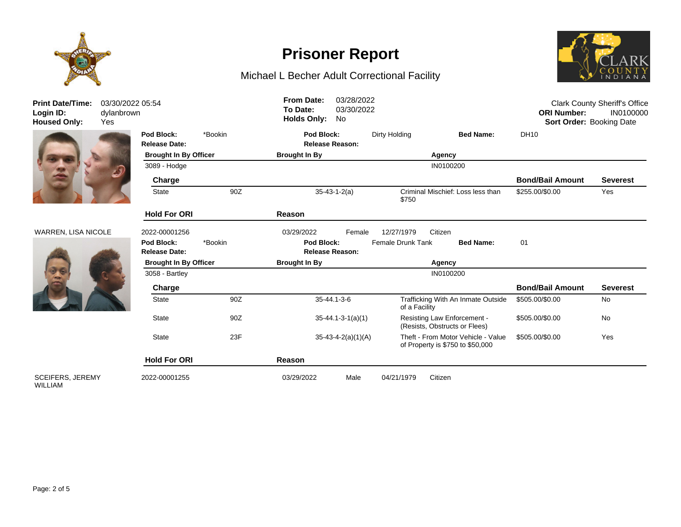

## Michael L Becher Adult Correctional Facility



| <b>Print Date/Time:</b><br>Login ID:<br><b>Housed Only:</b> | 03/30/2022 05:54<br>dylanbrown<br>Yes |                                         | <b>From Date:</b><br>To Date:<br><b>Holds Only:</b> | 03/28/2022<br>03/30/2022<br>No       | <b>Clark County Sheriff's Office</b><br><b>ORI Number:</b><br>IN0100000<br>Sort Order: Booking Date |                                                                        |                         |                 |
|-------------------------------------------------------------|---------------------------------------|-----------------------------------------|-----------------------------------------------------|--------------------------------------|-----------------------------------------------------------------------------------------------------|------------------------------------------------------------------------|-------------------------|-----------------|
|                                                             | Pod Block:<br><b>Release Date:</b>    | *Bookin<br><b>Brought In By Officer</b> |                                                     | Pod Block:<br><b>Release Reason:</b> | Dirty Holding                                                                                       | <b>Bed Name:</b>                                                       | DH10                    |                 |
|                                                             |                                       |                                         |                                                     |                                      |                                                                                                     | Agency                                                                 |                         |                 |
|                                                             | 3089 - Hodge                          |                                         |                                                     |                                      |                                                                                                     | IN0100200                                                              |                         |                 |
|                                                             | Charge                                |                                         |                                                     |                                      |                                                                                                     |                                                                        | <b>Bond/Bail Amount</b> | <b>Severest</b> |
|                                                             | <b>State</b>                          | 90Z                                     | $35 - 43 - 1 - 2(a)$                                |                                      | \$750                                                                                               | Criminal Mischief: Loss less than                                      | \$255.00/\$0.00         | Yes             |
|                                                             | <b>Hold For ORI</b>                   |                                         | Reason                                              |                                      |                                                                                                     |                                                                        |                         |                 |
| <b>WARREN, LISA NICOLE</b>                                  | 2022-00001256                         |                                         | 03/29/2022                                          | Female                               | 12/27/1979                                                                                          | Citizen                                                                |                         |                 |
|                                                             | Pod Block:<br><b>Release Date:</b>    | *Bookin                                 | Pod Block:<br><b>Release Reason:</b>                |                                      | <b>Female Drunk Tank</b>                                                                            | <b>Bed Name:</b>                                                       | 01                      |                 |
|                                                             | <b>Brought In By Officer</b>          |                                         | <b>Brought In By</b>                                |                                      |                                                                                                     | Agency                                                                 |                         |                 |
|                                                             | 3058 - Bartley                        |                                         |                                                     |                                      |                                                                                                     | IN0100200                                                              |                         |                 |
|                                                             | Charge                                |                                         |                                                     |                                      |                                                                                                     |                                                                        | <b>Bond/Bail Amount</b> | <b>Severest</b> |
|                                                             | <b>State</b>                          | 90Z                                     |                                                     | 35-44.1-3-6                          | of a Facility                                                                                       | Trafficking With An Inmate Outside                                     | \$505.00/\$0.00         | No              |
|                                                             | <b>State</b>                          | 90Z                                     | $35 - 44.1 - 3 - 1(a)(1)$                           |                                      |                                                                                                     | <b>Resisting Law Enforcement -</b><br>(Resists, Obstructs or Flees)    | \$505.00/\$0.00         | No              |
|                                                             | <b>State</b>                          | 23F                                     |                                                     | $35-43-4-2(a)(1)(A)$                 |                                                                                                     | Theft - From Motor Vehicle - Value<br>of Property is \$750 to \$50,000 | \$505.00/\$0.00         | Yes             |
|                                                             | <b>Hold For ORI</b>                   |                                         | Reason                                              |                                      |                                                                                                     |                                                                        |                         |                 |
| <b>SCEIFERS, JEREMY</b>                                     | 2022-00001255                         |                                         | 03/29/2022                                          | Male                                 | 04/21/1979                                                                                          | Citizen                                                                |                         |                 |



#### WARREN, LISA NICOLE



SCEIFERS, JEREMY WILLIAM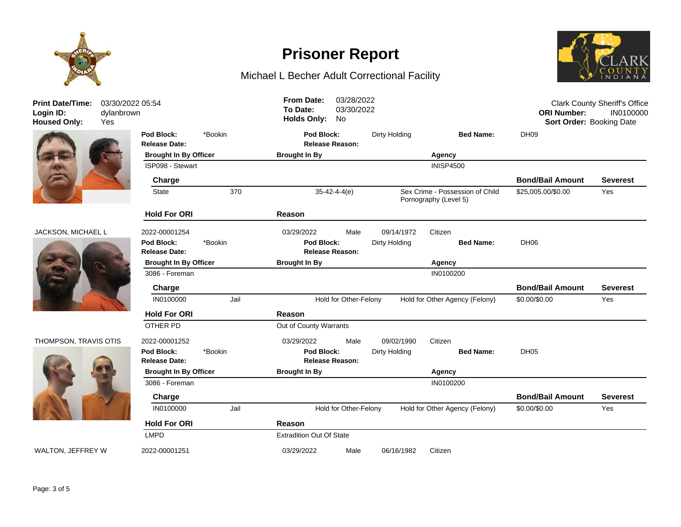

## Michael L Becher Adult Correctional Facility



| <b>Print Date/Time:</b><br>Login ID:<br><b>Housed Only:</b> | 03/30/2022 05:54<br>dylanbrown<br>Yes |                              |         |                                 | <b>From Date:</b><br>03/28/2022<br>To Date:<br>03/30/2022<br><b>Holds Only:</b><br>No |                        |               |                                                          |                         | <b>Clark County Sheriff's Office</b><br><b>ORI Number:</b><br>IN0100000<br>Sort Order: Booking Date |  |  |
|-------------------------------------------------------------|---------------------------------------|------------------------------|---------|---------------------------------|---------------------------------------------------------------------------------------|------------------------|---------------|----------------------------------------------------------|-------------------------|-----------------------------------------------------------------------------------------------------|--|--|
|                                                             |                                       | Pod Block:                   | *Bookin |                                 | Pod Block:                                                                            |                        | Dirty Holding | <b>Bed Name:</b>                                         | <b>DH09</b>             |                                                                                                     |  |  |
|                                                             |                                       | <b>Release Date:</b>         |         |                                 | <b>Release Reason:</b>                                                                |                        |               |                                                          |                         |                                                                                                     |  |  |
|                                                             |                                       | <b>Brought In By Officer</b> |         |                                 | <b>Brought In By</b>                                                                  |                        | Agency        |                                                          |                         |                                                                                                     |  |  |
|                                                             |                                       | ISP098 - Stewart             |         |                                 |                                                                                       |                        |               | <b>INISP4500</b>                                         |                         |                                                                                                     |  |  |
|                                                             |                                       | Charge                       |         |                                 |                                                                                       |                        |               |                                                          | <b>Bond/Bail Amount</b> | <b>Severest</b>                                                                                     |  |  |
|                                                             |                                       | <b>State</b>                 | 370     |                                 | $35 - 42 - 4 - 4(e)$                                                                  |                        |               | Sex Crime - Possession of Child<br>Pornography (Level 5) | \$25,005.00/\$0.00      | Yes                                                                                                 |  |  |
|                                                             |                                       | <b>Hold For ORI</b>          |         | Reason                          |                                                                                       |                        |               |                                                          |                         |                                                                                                     |  |  |
| JACKSON, MICHAEL L                                          |                                       | 2022-00001254                |         | 03/29/2022                      |                                                                                       | Male                   | 09/14/1972    | Citizen                                                  |                         |                                                                                                     |  |  |
|                                                             |                                       | Pod Block:                   | *Bookin |                                 | Pod Block:                                                                            |                        | Dirty Holding | <b>Bed Name:</b>                                         | DH <sub>06</sub>        |                                                                                                     |  |  |
|                                                             |                                       | <b>Release Date:</b>         |         |                                 |                                                                                       | <b>Release Reason:</b> |               |                                                          |                         |                                                                                                     |  |  |
|                                                             |                                       | <b>Brought In By Officer</b> |         |                                 | <b>Brought In By</b><br>Agency                                                        |                        |               |                                                          |                         |                                                                                                     |  |  |
|                                                             |                                       | 3086 - Foreman               |         |                                 |                                                                                       |                        |               | IN0100200                                                |                         |                                                                                                     |  |  |
|                                                             |                                       | Charge                       |         |                                 |                                                                                       |                        |               |                                                          | <b>Bond/Bail Amount</b> | <b>Severest</b>                                                                                     |  |  |
|                                                             |                                       | IN0100000                    | Jail    |                                 | Hold for Other-Felony<br>Hold for Other Agency (Felony)                               |                        |               |                                                          |                         | Yes                                                                                                 |  |  |
|                                                             |                                       | <b>Hold For ORI</b>          |         | Reason                          |                                                                                       |                        |               |                                                          |                         |                                                                                                     |  |  |
|                                                             |                                       | OTHER PD                     |         | Out of County Warrants          |                                                                                       |                        |               |                                                          |                         |                                                                                                     |  |  |
| THOMPSON, TRAVIS OTIS                                       |                                       | 2022-00001252                |         | 03/29/2022                      |                                                                                       | Male                   | 09/02/1990    | Citizen                                                  |                         |                                                                                                     |  |  |
|                                                             |                                       | Pod Block:                   | *Bookin |                                 | Pod Block:                                                                            |                        | Dirty Holding | <b>Bed Name:</b>                                         | DH <sub>05</sub>        |                                                                                                     |  |  |
|                                                             |                                       | <b>Release Date:</b>         |         |                                 |                                                                                       | <b>Release Reason:</b> |               |                                                          |                         |                                                                                                     |  |  |
|                                                             |                                       | <b>Brought In By Officer</b> |         | <b>Brought In By</b>            |                                                                                       |                        |               | Agency                                                   |                         |                                                                                                     |  |  |
|                                                             |                                       | 3086 - Foreman               |         |                                 |                                                                                       |                        |               | IN0100200                                                |                         |                                                                                                     |  |  |
|                                                             |                                       | Charge                       |         |                                 |                                                                                       |                        |               |                                                          | <b>Bond/Bail Amount</b> | <b>Severest</b>                                                                                     |  |  |
|                                                             |                                       | IN0100000                    | Jail    |                                 |                                                                                       | Hold for Other-Felony  |               | Hold for Other Agency (Felony)                           | \$0.00/\$0.00           | Yes                                                                                                 |  |  |
|                                                             |                                       | <b>Hold For ORI</b>          |         | Reason                          |                                                                                       |                        |               |                                                          |                         |                                                                                                     |  |  |
|                                                             |                                       | <b>LMPD</b>                  |         | <b>Extradition Out Of State</b> |                                                                                       |                        |               |                                                          |                         |                                                                                                     |  |  |
| WALTON, JEFFREY W                                           |                                       | 2022-00001251                |         | 03/29/2022                      |                                                                                       | Male                   | 06/16/1982    | Citizen                                                  |                         |                                                                                                     |  |  |



#### JACKSON, MI



#### THOMPSON, 1

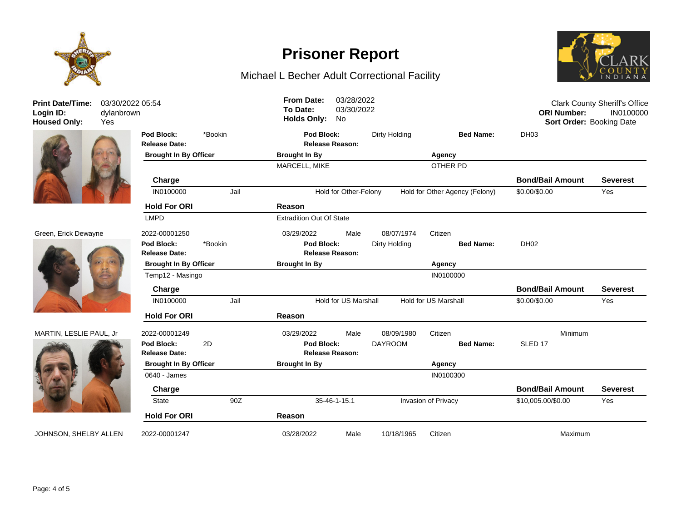

### Michael L Becher Adult Correctional Facility



**Release Date: Release Reason: Pod Block:** \*Bookin **Pod Block:** Dirty Holding **Bed Name:** DH03 **Brought In By Officer Brought In By Agency** MARCELL, MIKE **OTHER PD Charge Bond/Bail Amount Severest** IN0100000 Jail Hold for Other-Felony Hold for Other Agency (Felony) \$0.00/\$0.00 Yes **Hold For ORI Reason** LMPD Extradition Out Of State Green, Erick Dewayne 2022-00001250 03/29/2022 Male 08/07/1974 Citizen **Release Date: Release Reason: Pod Block:** \*Bookin **Pod Block:** Dirty Holding **Bed Name:** DH02 **Brought In By Officer Brought In By Agency** Temp12 - Masingo IN0100000 **Charge Bond/Bail Amount Severest** IN0100000 Jail Hold for US Marshall Hold for US Marshall \$0.00/\$0.00 Yes **Hold For ORI Reason** MARTIN, LESLIE PAUL, Jr 2022-00001249 03/29/2022 Male 08/09/1980 Citizen Minimum **Release Date: Release Reason: Pod Block:** 2D **Pod Block:** DAYROOM **Bed Name:** SLED 17 **Brought In By Officer Brought In By Agency** 0640 - James IN0100300 **Charge Bond/Bail Amount Severest** State 90Z 35-46-1-15.1 Invasion of Privacy \$10,005.00/\$0.00 Yes **Hold For ORI Reason** JOHNSON, SHELBY ALLEN 2022-00001247 03/28/2022 Male 10/18/1965 Citizen Maximum 03/30/2022 05:54 Clark County Sheriff's Office **ORI Number:** IN0100000 **Housed Only:** Yes **Holds Only:** No **Sort Order:** Booking Date **To Date:** 03/30/2022 **From Date:** 03/28/2022

**Print Date/Time: Login ID:** dylanbrown